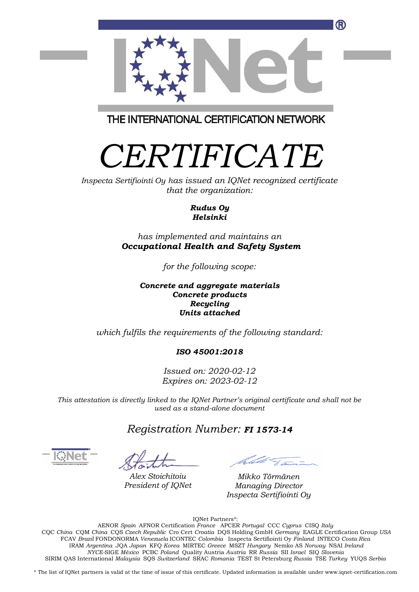

THE INTERNATIONAL CERTIFICATION NETWORK

# *CERTIFICATE*

*Inspecta Sertifiointi Oy has issued an IQNet recognized certificate that the organization:*

#### *Rudus Oy Helsinki*

### *has implemented and maintains an Occupational Health and Safety System*

*for the following scope:*

#### *Concrete and aggregate materials Concrete products Recycling Units attached*

*which fulfils the requirements of the following standard:*

*ISO 45001:2018*

*Issued on: 2020-02-12 Expires on: 2023-02-12*

*This attestation is directly linked to the IQNet Partner's original certificate and shall not be used as a stand-alone document*

*Registration Number: FI 1573-14*

*Alex Stoichitoiu President of IQNet*

*Mikko Törmänen Managing Director Inspecta Sertifiointi Oy*

IQNet Partners\*:

AENOR *Spain* AFNOR Certification *France* APCER *Portugal* CCC *Cyprus* CISQ *Italy* CQC *China* CQM *China* CQS *Czech Republic* Cro Cert *Croatia* DQS Holding GmbH *Germany* EAGLE Certification Group *USA* FCAV *Brazil* FONDONORMA *Venezuela* ICONTEC *Colombia* Inspecta Sertifiointi Oy *Finland* INTECO *Costa Rica* IRAM *Argentina* JQA *Japan* KFQ *Korea* MIRTEC *Greece* MSZT *Hungary* Nemko AS *Norway* NSAI *Ireland NYCE-*SIGE *México* PCBC *Poland* Quality Austria *Austria* RR *Russia* SII *Israel* SIQ *Slovenia*  SIRIM QAS International *Malaysia* SQS *Switzerland* SRAC *Romania* TEST St Petersburg *Russia* TSE *Turkey* YUQS *Serbia*

\* The list of IQNet partners is valid at the time of issue of this certificate. Updated information is available under www.iqnet-certification.com